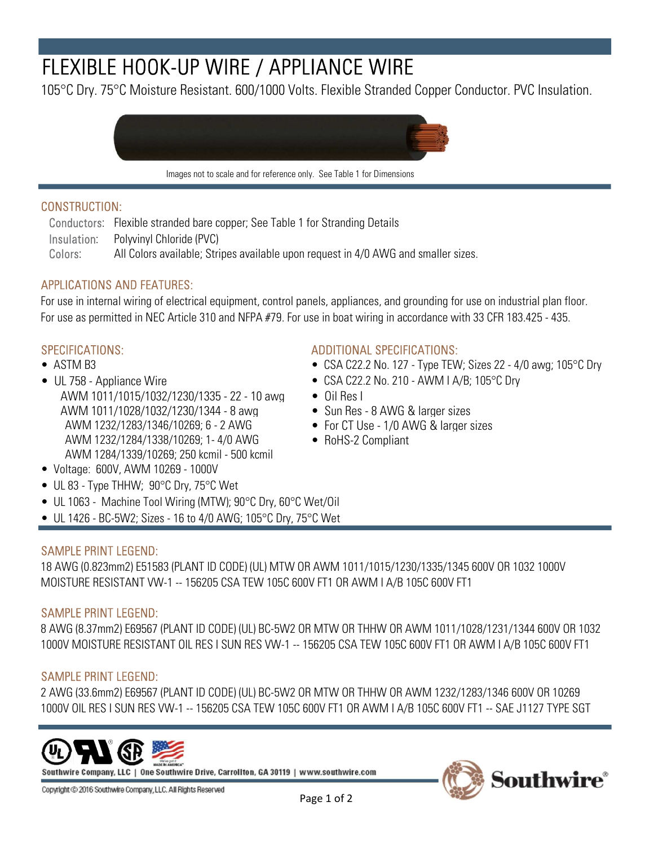# FLEXIBLE HOOK-UP WIRE / APPLIANCE WIRE

105°C Dry. 75°C Moisture Resistant. 600/1000 Volts. Flexible Stranded Copper Conductor. PVC Insulation.



Images not to scale and for reference only. See Table 1 for Dimensions

### CONSTRUCTION:

Conductors: Flexible stranded bare copper; See Table 1 for Stranding Details Insulation: Polyvinyl Chloride (PVC) Colors: All Colors available; Stripes available upon request in 4/0 AWG and smaller sizes.

# APPLICATIONS AND FEATURES:

For use as permitted in NEC Article 310 and NFPA #79. For use in boat wiring in accordance with 33 CFR 183.425 - 435. For use in internal wiring of electrical equipment, control panels, appliances, and grounding for use on industrial plan floor.

- 
- UL 758 Appliance Wire CSA C22.2 No. 210 AWM I A/B; 105 °C Dry AWM 1011/1015/1032/1230/1335 - 22 - 10 awg • Oil Res I AWM 1011/1028/1032/1230/1344 - 8 awg • Sun Res - 8 AWG & larger sizes AWM 1232/1283/1346/10269; 6 - 2 AWG • For CT Use - 1/0 AWG & larger sizes AWM 1232/1284/1338/10269; 1- 4/0 AWG • RoHS-2 Compliant AWM 1284/1339/10269; 250 kcmil - 500 kcmil

### SPECIFICATIONS: ADDITIONAL SPECIFICATIONS:

- ASTM B3 CSA C22.2 No. 127 Type TEW; Sizes 22 4/0 awg; 105°C Dry
	-
	-
	-
	-
	-

- Voltage: 600V, AWM 10269 1000V
- UL 83 Type THHW; 90°C Dry, 75°C Wet
- UL 1063 Machine Tool Wiring (MTW); 90°C Dry, 60°C Wet/Oil
- UL 1426 BC-5W2; Sizes 16 to 4/0 AWG; 105 $\degree$ C Dry, 75 $\degree$ C Wet

# SAMPLE PRINT LEGEND:

18 AWG (0.823mm2) E51583 (PLANT ID CODE) (UL) MTW OR AWM 1011/1015/1230/1335/1345 600V OR 1032 1000V MOISTURE RESISTANT VW-1 -- 156205 CSA TEW 105C 600V FT1 OR AWM I A/B 105C 600V FT1

#### SAMPLE PRINT LEGEND:

8 AWG (8.37mm2) E69567 (PLANT ID CODE) (UL) BC-5W2 OR MTW OR THHW OR AWM 1011/1028/1231/1344 600V OR 1032 1000V MOISTURE RESISTANT OIL RES I SUN RES VW-1 -- 156205 CSA TEW 105C 600V FT1 OR AWM I A/B 105C 600V FT1

# SAMPLE PRINT LEGEND:

2 AWG (33.6mm2) E69567 (PLANT ID CODE) (UL) BC-5W2 OR MTW OR THHW OR AWM 1232/1283/1346 600V OR 10269 1000V OIL RES I SUN RES VW-1 -- 156205 CSA TEW 105C 600V FT1 OR AWM I A/B 105C 600V FT1 -- SAE J1127 TYPE SGT



Southwire Company, LLC | One Southwire Drive, Carrollton, GA 30119 | www.southwire.com